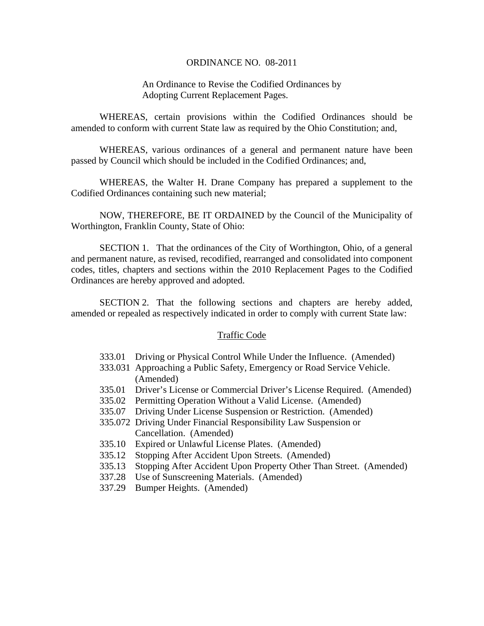#### ORDINANCE NO. 08-2011

### An Ordinance to Revise the Codified Ordinances by Adopting Current Replacement Pages.

 WHEREAS, certain provisions within the Codified Ordinances should be amended to conform with current State law as required by the Ohio Constitution; and,

 WHEREAS, various ordinances of a general and permanent nature have been passed by Council which should be included in the Codified Ordinances; and,

 WHEREAS, the Walter H. Drane Company has prepared a supplement to the Codified Ordinances containing such new material;

NOW, THEREFORE, BE IT ORDAINED by the Council of the Municipality of Worthington, Franklin County, State of Ohio:

 SECTION 1. That the ordinances of the City of Worthington, Ohio, of a general and permanent nature, as revised, recodified, rearranged and consolidated into component codes, titles, chapters and sections within the 2010 Replacement Pages to the Codified Ordinances are hereby approved and adopted.

 SECTION 2. That the following sections and chapters are hereby added, amended or repealed as respectively indicated in order to comply with current State law:

#### Traffic Code

- 333.01 Driving or Physical Control While Under the Influence. (Amended)
- 333.031 Approaching a Public Safety, Emergency or Road Service Vehicle. (Amended)
- 335.01 Driver's License or Commercial Driver's License Required. (Amended)
- 335.02 Permitting Operation Without a Valid License. (Amended)
- 335.07 Driving Under License Suspension or Restriction. (Amended)
- 335.072 Driving Under Financial Responsibility Law Suspension or Cancellation. (Amended)
- 335.10 Expired or Unlawful License Plates. (Amended)
- 335.12 Stopping After Accident Upon Streets. (Amended)
- 335.13 Stopping After Accident Upon Property Other Than Street. (Amended)
- 337.28 Use of Sunscreening Materials. (Amended)
- 337.29 Bumper Heights. (Amended)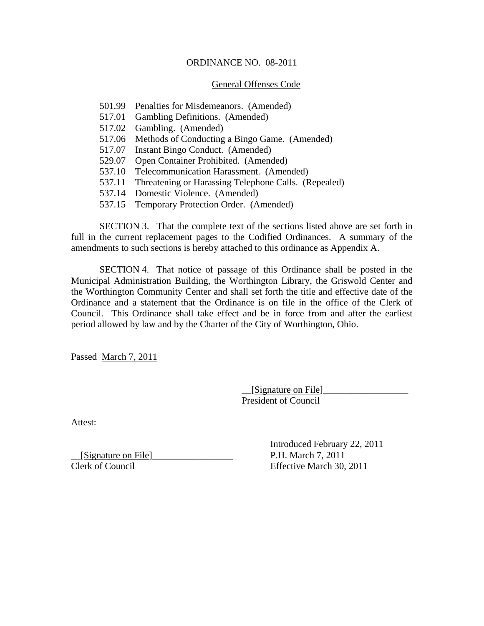### ORDINANCE NO. 08-2011

### General Offenses Code

- 501.99 Penalties for Misdemeanors. (Amended)
- 517.01 Gambling Definitions. (Amended)
- 517.02 Gambling. (Amended)
- 517.06 Methods of Conducting a Bingo Game. (Amended)
- 517.07 Instant Bingo Conduct. (Amended)
- 529.07 Open Container Prohibited. (Amended)
- 537.10 Telecommunication Harassment. (Amended)
- 537.11 Threatening or Harassing Telephone Calls. (Repealed)
- 537.14 Domestic Violence. (Amended)
- 537.15 Temporary Protection Order. (Amended)

 SECTION 3. That the complete text of the sections listed above are set forth in full in the current replacement pages to the Codified Ordinances. A summary of the amendments to such sections is hereby attached to this ordinance as Appendix A.

 SECTION 4. That notice of passage of this Ordinance shall be posted in the Municipal Administration Building, the Worthington Library, the Griswold Center and the Worthington Community Center and shall set forth the title and effective date of the Ordinance and a statement that the Ordinance is on file in the office of the Clerk of Council. This Ordinance shall take effect and be in force from and after the earliest period allowed by law and by the Charter of the City of Worthington, Ohio.

Passed March 7, 2011

 $[$ Signature on File $]$ President of Council

Attest:

 $\frac{Signature on File)}{Clerk of Council}$  P.H. March 7, 2011<br>Clerk of Council Effective March 30

 Introduced February 22, 2011 Effective March 30, 2011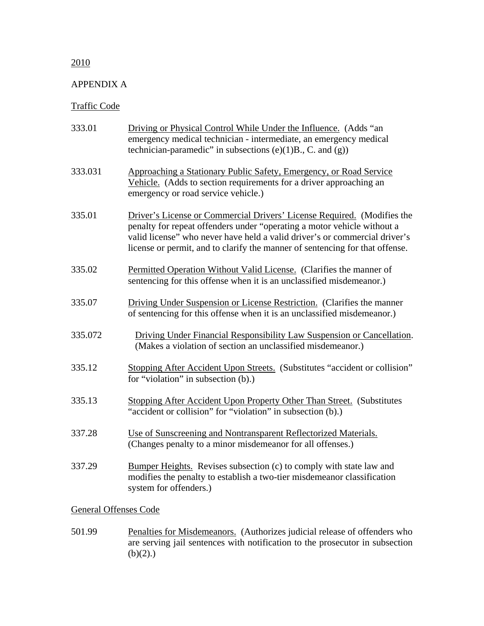## 2010

### APPENDIX A

# Traffic Code

| 333.01  | Driving or Physical Control While Under the Influence. (Adds "an<br>emergency medical technician - intermediate, an emergency medical<br>technician-paramedic" in subsections $(e)(1)B$ ., C. and $(g)$ )                                                                                                        |
|---------|------------------------------------------------------------------------------------------------------------------------------------------------------------------------------------------------------------------------------------------------------------------------------------------------------------------|
| 333.031 | Approaching a Stationary Public Safety, Emergency, or Road Service<br>Vehicle. (Adds to section requirements for a driver approaching an<br>emergency or road service vehicle.)                                                                                                                                  |
| 335.01  | Driver's License or Commercial Drivers' License Required. (Modifies the<br>penalty for repeat offenders under "operating a motor vehicle without a<br>valid license" who never have held a valid driver's or commercial driver's<br>license or permit, and to clarify the manner of sentencing for that offense. |
| 335.02  | Permitted Operation Without Valid License. (Clarifies the manner of<br>sentencing for this offense when it is an unclassified misdemeanor.)                                                                                                                                                                      |
| 335.07  | Driving Under Suspension or License Restriction. (Clarifies the manner<br>of sentencing for this offense when it is an unclassified misdemeanor.)                                                                                                                                                                |
| 335.072 | Driving Under Financial Responsibility Law Suspension or Cancellation.<br>(Makes a violation of section an unclassified misdemeanor.)                                                                                                                                                                            |
| 335.12  | Stopping After Accident Upon Streets. (Substitutes "accident or collision"<br>for "violation" in subsection (b).)                                                                                                                                                                                                |
| 335.13  | Stopping After Accident Upon Property Other Than Street. (Substitutes<br>"accident or collision" for "violation" in subsection (b).)                                                                                                                                                                             |
| 337.28  | Use of Sunscreening and Nontransparent Reflectorized Materials.<br>(Changes penalty to a minor misdemeanor for all offenses.)                                                                                                                                                                                    |
| 337.29  | Bumper Heights. Revises subsection (c) to comply with state law and<br>modifies the penalty to establish a two-tier misdemeanor classification<br>system for offenders.)                                                                                                                                         |

# General Offenses Code

501.99 Penalties for Misdemeanors. (Authorizes judicial release of offenders who are serving jail sentences with notification to the prosecutor in subsection  $(b)(2).$